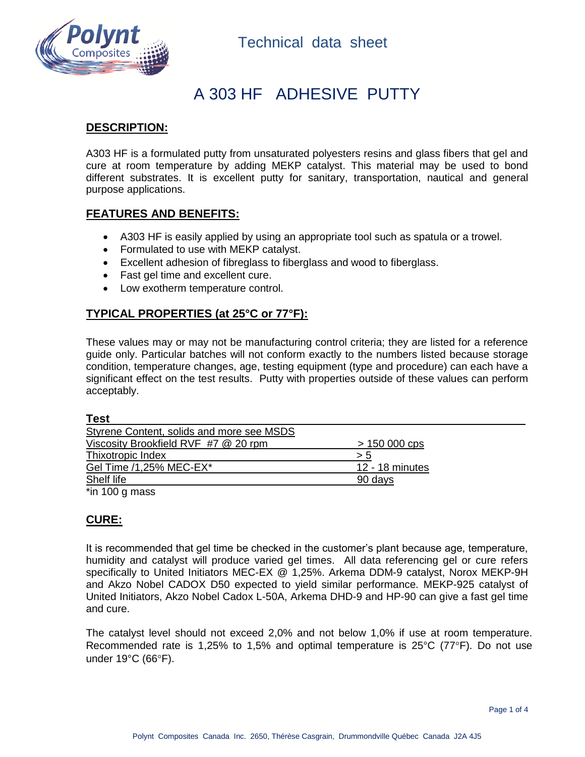

# A 303 HF ADHESIVE PUTTY

### **DESCRIPTION:**

A303 HF is a formulated putty from unsaturated polyesters resins and glass fibers that gel and cure at room temperature by adding MEKP catalyst. This material may be used to bond different substrates. It is excellent putty for sanitary, transportation, nautical and general purpose applications.

### **FEATURES AND BENEFITS:**

- A303 HF is easily applied by using an appropriate tool such as spatula or a trowel.
- Formulated to use with MEKP catalyst.
- Excellent adhesion of fibreglass to fiberglass and wood to fiberglass.
- Fast gel time and excellent cure.
- Low exotherm temperature control.

### **TYPICAL PROPERTIES (at 25°C or 77°F):**

These values may or may not be manufacturing control criteria; they are listed for a reference guide only. Particular batches will not conform exactly to the numbers listed because storage condition, temperature changes, age, testing equipment (type and procedure) can each have a significant effect on the test results. Putty with properties outside of these values can perform acceptably.

|--|

| Styrene Content, solids and more see MSDS |                 |
|-------------------------------------------|-----------------|
| Viscosity Brookfield RVF #7 @ 20 rpm      | $> 150000$ cps  |
| Thixotropic Index                         | > 5             |
| Gel Time /1,25% MEC-EX*                   | 12 - 18 minutes |
| Shelf life                                | 90 days         |
| .                                         |                 |

\*in 100 g mass

## **CURE:**

It is recommended that gel time be checked in the customer's plant because age, temperature, humidity and catalyst will produce varied gel times. All data referencing gel or cure refers specifically to United Initiators MEC-EX @ 1,25%. Arkema DDM-9 catalyst, Norox MEKP-9H and Akzo Nobel CADOX D50 expected to yield similar performance. MEKP-925 catalyst of United Initiators, Akzo Nobel Cadox L-50A, Arkema DHD-9 and HP-90 can give a fast gel time and cure.

The catalyst level should not exceed 2,0% and not below 1,0% if use at room temperature. Recommended rate is 1,25% to 1,5% and optimal temperature is  $25^{\circ}$ C (77 $^{\circ}$ F). Do not use under  $19^{\circ}$ C (66 $^{\circ}$ F).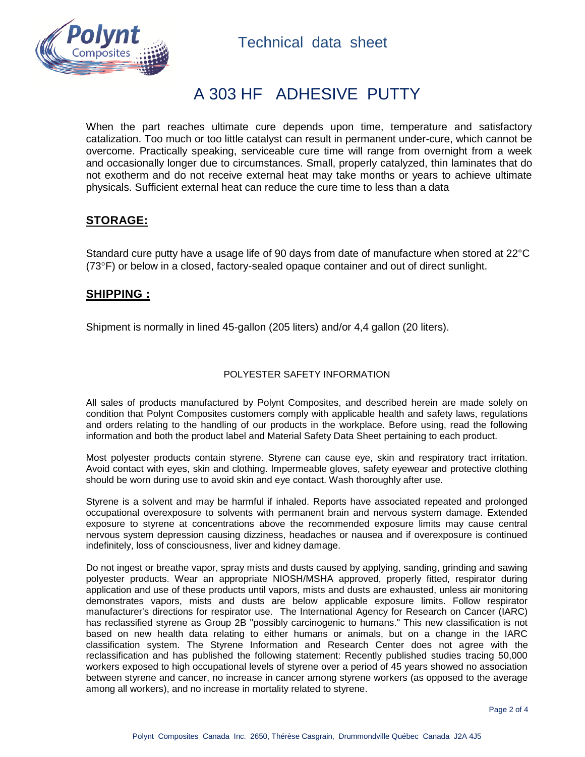

# A 303 HF ADHESIVE PUTTY

When the part reaches ultimate cure depends upon time, temperature and satisfactory catalization. Too much or too little catalyst can result in permanent under-cure, which cannot be overcome. Practically speaking, serviceable cure time will range from overnight from a week and occasionally longer due to circumstances. Small, properly catalyzed, thin laminates that do not exotherm and do not receive external heat may take months or years to achieve ultimate physicals. Sufficient external heat can reduce the cure time to less than a data

## **STORAGE:**

Standard cure putty have a usage life of 90 days from date of manufacture when stored at 22°C  $(73^{\circ}F)$  or below in a closed, factory-sealed opaque container and out of direct sunlight.

#### **SHIPPING :**

Shipment is normally in lined 45-gallon (205 liters) and/or 4,4 gallon (20 liters).

#### POLYESTER SAFETY INFORMATION

All sales of products manufactured by Polynt Composites, and described herein are made solely on condition that Polynt Composites customers comply with applicable health and safety laws, regulations and orders relating to the handling of our products in the workplace. Before using, read the following information and both the product label and Material Safety Data Sheet pertaining to each product.

Most polyester products contain styrene. Styrene can cause eye, skin and respiratory tract irritation. Avoid contact with eyes, skin and clothing. Impermeable gloves, safety eyewear and protective clothing should be worn during use to avoid skin and eye contact. Wash thoroughly after use.

Styrene is a solvent and may be harmful if inhaled. Reports have associated repeated and prolonged occupational overexposure to solvents with permanent brain and nervous system damage. Extended exposure to styrene at concentrations above the recommended exposure limits may cause central nervous system depression causing dizziness, headaches or nausea and if overexposure is continued indefinitely, loss of consciousness, liver and kidney damage.

Do not ingest or breathe vapor, spray mists and dusts caused by applying, sanding, grinding and sawing polyester products. Wear an appropriate NIOSH/MSHA approved, properly fitted, respirator during application and use of these products until vapors, mists and dusts are exhausted, unless air monitoring demonstrates vapors, mists and dusts are below applicable exposure limits. Follow respirator manufacturer's directions for respirator use. The International Agency for Research on Cancer (IARC) has reclassified styrene as Group 2B "possibly carcinogenic to humans." This new classification is not based on new health data relating to either humans or animals, but on a change in the IARC classification system. The Styrene Information and Research Center does not agree with the reclassification and has published the following statement: Recently published studies tracing 50,000 workers exposed to high occupational levels of styrene over a period of 45 years showed no association between styrene and cancer, no increase in cancer among styrene workers (as opposed to the average among all workers), and no increase in mortality related to styrene.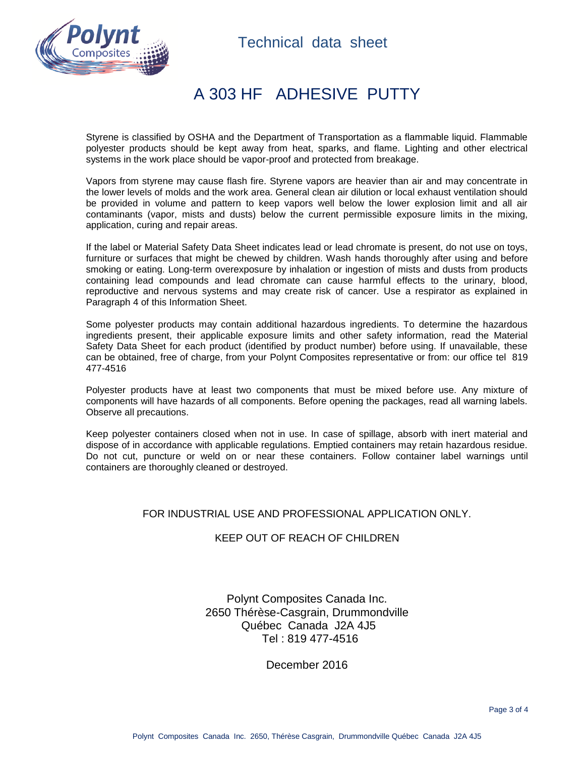



## A 303 HF ADHESIVE PUTTY

Styrene is classified by OSHA and the Department of Transportation as a flammable liquid. Flammable polyester products should be kept away from heat, sparks, and flame. Lighting and other electrical systems in the work place should be vapor-proof and protected from breakage.

Vapors from styrene may cause flash fire. Styrene vapors are heavier than air and may concentrate in the lower levels of molds and the work area. General clean air dilution or local exhaust ventilation should be provided in volume and pattern to keep vapors well below the lower explosion limit and all air contaminants (vapor, mists and dusts) below the current permissible exposure limits in the mixing, application, curing and repair areas.

If the label or Material Safety Data Sheet indicates lead or lead chromate is present, do not use on toys, furniture or surfaces that might be chewed by children. Wash hands thoroughly after using and before smoking or eating. Long-term overexposure by inhalation or ingestion of mists and dusts from products containing lead compounds and lead chromate can cause harmful effects to the urinary, blood, reproductive and nervous systems and may create risk of cancer. Use a respirator as explained in Paragraph 4 of this Information Sheet.

Some polyester products may contain additional hazardous ingredients. To determine the hazardous ingredients present, their applicable exposure limits and other safety information, read the Material Safety Data Sheet for each product (identified by product number) before using. If unavailable, these can be obtained, free of charge, from your Polynt Composites representative or from: our office tel 819 477-4516

Polyester products have at least two components that must be mixed before use. Any mixture of components will have hazards of all components. Before opening the packages, read all warning labels. Observe all precautions.

Keep polyester containers closed when not in use. In case of spillage, absorb with inert material and dispose of in accordance with applicable regulations. Emptied containers may retain hazardous residue. Do not cut, puncture or weld on or near these containers. Follow container label warnings until containers are thoroughly cleaned or destroyed.

#### FOR INDUSTRIAL USE AND PROFESSIONAL APPLICATION ONLY.

#### KEEP OUT OF REACH OF CHILDREN

Polynt Composites Canada Inc. 2650 Thérèse-Casgrain, Drummondville Québec Canada J2A 4J5 Tel : 819 477-4516

December 2016